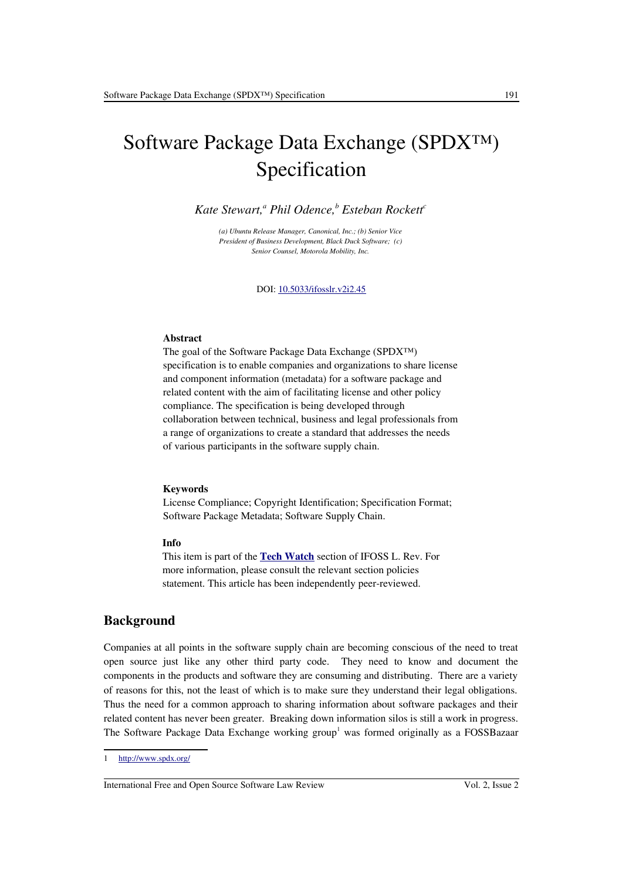# Software Package Data Exchange (SPDX™) Specification

*Kate Stewart,<sup>a</sup> Phil Odence,<sup>b</sup> Esteban Rockett<sup>c</sup>*

*(a) Ubuntu Release Manager, Canonical, Inc.; (b) Senior Vice President of Business Development, Black Duck Software; (c) Senior Counsel, Motorola Mobility, Inc.*

DOI: [10.5033/ifosslr.v2i2.45](http://dx.doi.org/10.5033/ifosslr.v2i2.45)

#### **Abstract**

The goal of the Software Package Data Exchange (SPDX™) specification is to enable companies and organizations to share license and component information (metadata) for a software package and related content with the aim of facilitating license and other policy compliance. The specification is being developed through collaboration between technical, business and legal professionals from a range of organizations to create a standard that addresses the needs of various participants in the software supply chain.

#### **Keywords**

License Compliance; Copyright Identification; Specification Format; Software Package Metadata; Software Supply Chain.

#### **Info**

This item is part of the **[Tech Watch](http://www.ifosslr.org/ifosslr/about/editorialPolicies#sectionPolicies)** section of IFOSS L. Rev. For more information, please consult the relevant section policies statement. This article has been independently peer-reviewed.

### **Background**

Companies at all points in the software supply chain are becoming conscious of the need to treat open source just like any other third party code. They need to know and document the components in the products and software they are consuming and distributing. There are a variety of reasons for this, not the least of which is to make sure they understand their legal obligations. Thus the need for a common approach to sharing information about software packages and their related content has never been greater. Breaking down information silos is still a work in progress. The Software Package Data Exchange working group<sup>[1](#page-0-0)</sup> was formed originally as a FOSSBazaar

<span id="page-0-0"></span><sup>1</sup><http://www.spdx.org/>

International Free and Open Source Software Law Review Vol. 2, Issue 2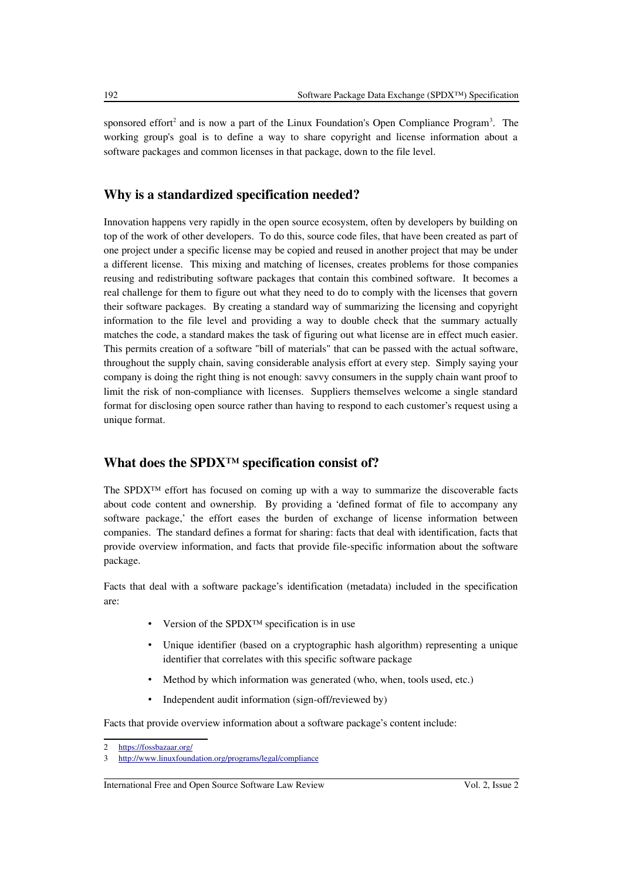sponsored effort<sup>[2](#page-1-0)</sup> and is now a part of the Linux Foundation's Open Compliance Program<sup>[3](#page-1-1)</sup>. The working group's goal is to define a way to share copyright and license information about a software packages and common licenses in that package, down to the file level.

## **Why is a standardized specification needed?**

Innovation happens very rapidly in the open source ecosystem, often by developers by building on top of the work of other developers. To do this, source code files, that have been created as part of one project under a specific license may be copied and reused in another project that may be under a different license. This mixing and matching of licenses, creates problems for those companies reusing and redistributing software packages that contain this combined software. It becomes a real challenge for them to figure out what they need to do to comply with the licenses that govern their software packages. By creating a standard way of summarizing the licensing and copyright information to the file level and providing a way to double check that the summary actually matches the code, a standard makes the task of figuring out what license are in effect much easier. This permits creation of a software "bill of materials" that can be passed with the actual software, throughout the supply chain, saving considerable analysis effort at every step. Simply saying your company is doing the right thing is not enough: savvy consumers in the supply chain want proof to limit the risk of non-compliance with licenses. Suppliers themselves welcome a single standard format for disclosing open source rather than having to respond to each customer's request using a unique format.

## **What does the SPDX™ specification consist of?**

The SPDX™ effort has focused on coming up with a way to summarize the discoverable facts about code content and ownership. By providing a 'defined format of file to accompany any software package,' the effort eases the burden of exchange of license information between companies. The standard defines a format for sharing: facts that deal with identification, facts that provide overview information, and facts that provide file-specific information about the software package.

Facts that deal with a software package's identification (metadata) included in the specification are:

- Version of the SPDX<sup>™</sup> specification is in use
- Unique identifier (based on a cryptographic hash algorithm) representing a unique identifier that correlates with this specific software package
- Method by which information was generated (who, when, tools used, etc.)
- Independent audit information (sign-off/reviewed by)

Facts that provide overview information about a software package's content include:

International Free and Open Source Software Law Review Vol. 2, Issue 2

<span id="page-1-0"></span><sup>2</sup><https://fossbazaar.org/>

<span id="page-1-1"></span><sup>3</sup> <http://www.linuxfoundation.org/programs/legal/compliance>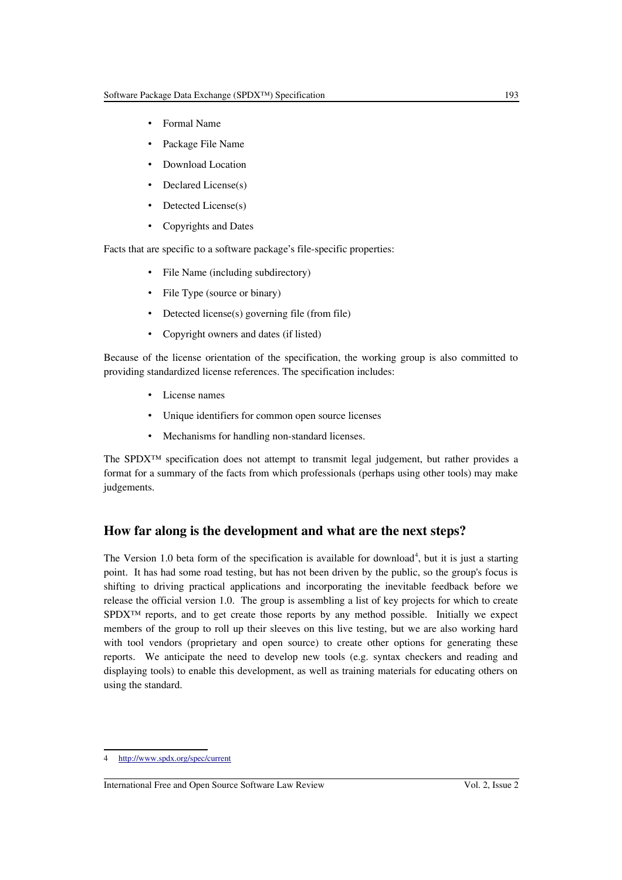- Formal Name
- Package File Name
- Download Location
- Declared License(s)
- Detected License(s)
- Copyrights and Dates

Facts that are specific to a software package's file-specific properties:

- File Name (including subdirectory)
- File Type (source or binary)
- Detected license(s) governing file (from file)
- Copyright owners and dates (if listed)

Because of the license orientation of the specification, the working group is also committed to providing standardized license references. The specification includes:

- License names
- Unique identifiers for common open source licenses
- Mechanisms for handling non-standard licenses.

The SPDX™ specification does not attempt to transmit legal judgement, but rather provides a format for a summary of the facts from which professionals (perhaps using other tools) may make judgements.

## **How far along is the development and what are the next steps?**

The Version 1.0 beta form of the specification is available for download<sup>[4](#page-2-0)</sup>, but it is just a starting point. It has had some road testing, but has not been driven by the public, so the group's focus is shifting to driving practical applications and incorporating the inevitable feedback before we release the official version 1.0. The group is assembling a list of key projects for which to create SPDX<sup>™</sup> reports, and to get create those reports by any method possible. Initially we expect members of the group to roll up their sleeves on this live testing, but we are also working hard with tool vendors (proprietary and open source) to create other options for generating these reports. We anticipate the need to develop new tools (e.g. syntax checkers and reading and displaying tools) to enable this development, as well as training materials for educating others on using the standard.

<span id="page-2-0"></span><sup>4</sup><http://www.spdx.org/spec/current>

International Free and Open Source Software Law Review Vol. 2, Issue 2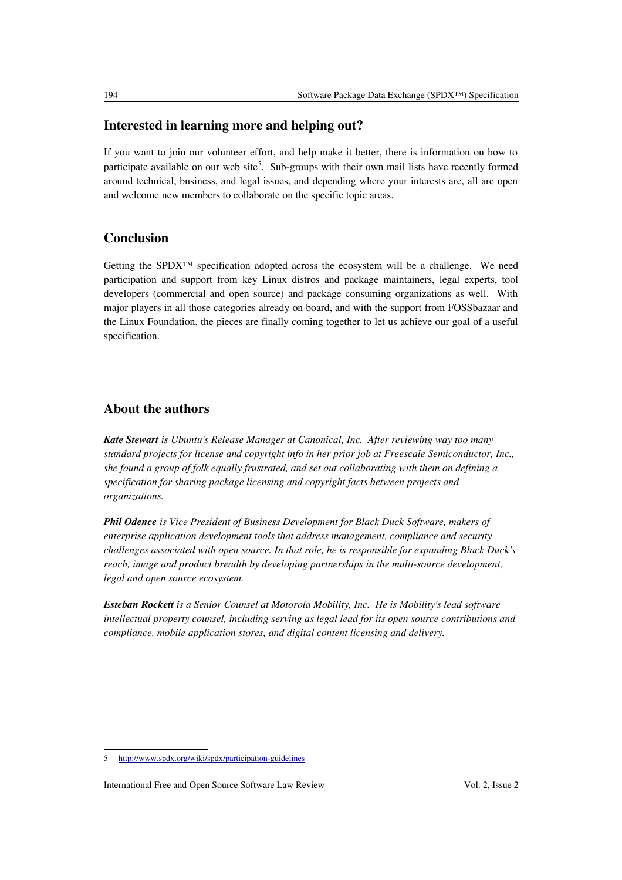## **Interested in learning more and helping out?**

If you want to join our volunteer effort, and help make it better, there is information on how to participate available on our web site<sup>[5](#page-3-0)</sup>. Sub-groups with their own mail lists have recently formed around technical, business, and legal issues, and depending where your interests are, all are open and welcome new members to collaborate on the specific topic areas.

# **Conclusion**

Getting the SPDX<sup>™</sup> specification adopted across the ecosystem will be a challenge. We need participation and support from key Linux distros and package maintainers, legal experts, tool developers (commercial and open source) and package consuming organizations as well. With major players in all those categories already on board, and with the support from FOSSbazaar and the Linux Foundation, the pieces are finally coming together to let us achieve our goal of a useful specification.

# **About the authors**

*Kate Stewart is Ubuntu's Release Manager at Canonical, Inc. After reviewing way too many standard projects for license and copyright info in her prior job at Freescale Semiconductor, Inc., she found a group of folk equally frustrated, and set out collaborating with them on defining a specification for sharing package licensing and copyright facts between projects and organizations.*

*Phil Odence is Vice President of Business Development for Black Duck Software, makers of enterprise application development tools that address management, compliance and security challenges associated with open source. In that role, he is responsible for expanding Black Duck's reach, image and product breadth by developing partnerships in the multi-source development, legal and open source ecosystem.*

*Esteban Rockett is a Senior Counsel at Motorola Mobility, Inc. He is Mobility's lead software intellectual property counsel, including serving as legal lead for its open source contributions and compliance, mobile application stores, and digital content licensing and delivery.*

<span id="page-3-0"></span><sup>5</sup><http://www.spdx.org/wiki/spdx/participation-guidelines>

International Free and Open Source Software Law Review Vol. 2, Issue 2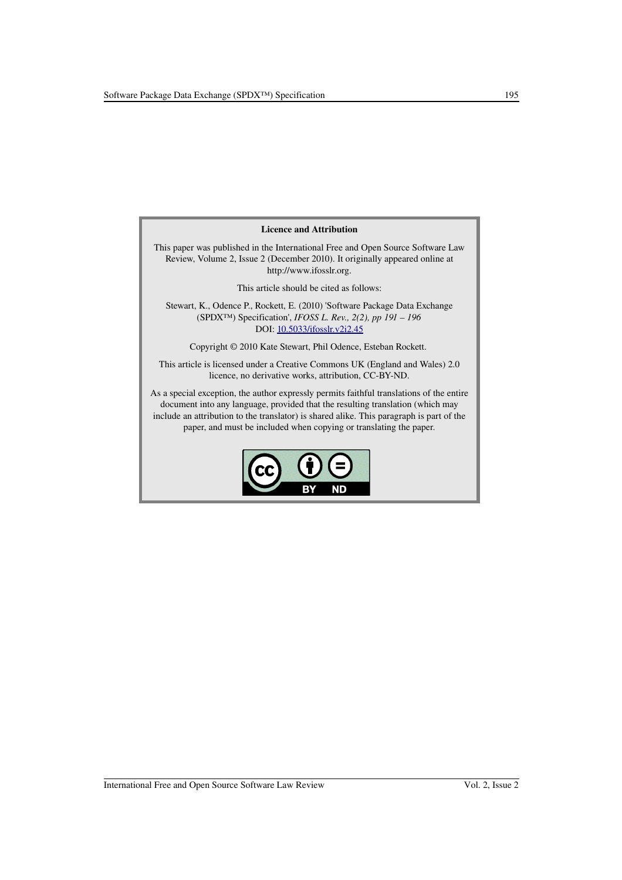#### Licence and Attribution

This paper was published in the International Free and Open Source Software Law Review, Volume 2, Issue 2 (December 2010). It originally appeared online at http://www.ifosslr.org.

This article should be cited as follows:

Stewart, K., Odence P., Rockett, E. (2010) 'Software Package Data Exchange (SPDX™) Specification', *IFOSS L. Rev., 2(2), pp 191 – 196* DOI: [10.5033/ifosslr.v2i2.45](http://dx.doi.org/10.5033/ifosslr.v2i2.45)

Copyright © 2010 Kate Stewart, Phil Odence, Esteban Rockett.

This article is licensed under a Creative Commons UK (England and Wales) 2.0 licence, no derivative works, attribution, CC-BY-ND.

As a special exception, the author expressly permits faithful translations of the entire document into any language, provided that the resulting translation (which may include an attribution to the translator) is shared alike. This paragraph is part of the paper, and must be included when copying or translating the paper.